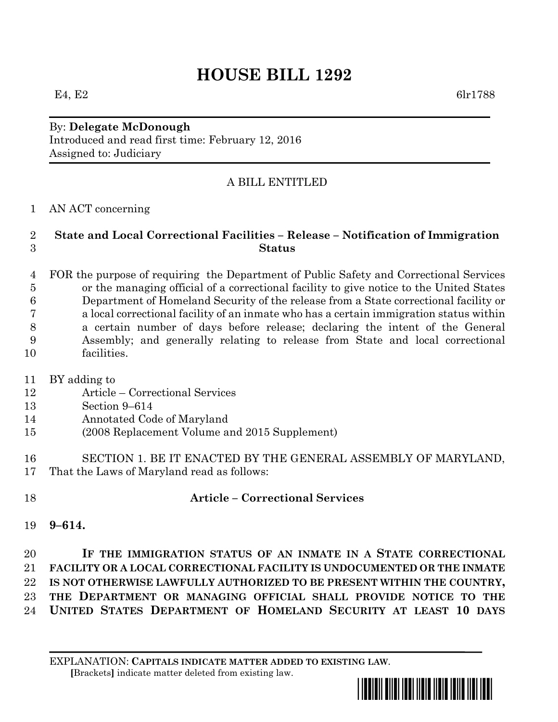# **HOUSE BILL 1292**

E4, E2 6lr1788

By: **Delegate McDonough** Introduced and read first time: February 12, 2016 Assigned to: Judiciary

## A BILL ENTITLED

AN ACT concerning

### **State and Local Correctional Facilities – Release – Notification of Immigration Status**

 FOR the purpose of requiring the Department of Public Safety and Correctional Services or the managing official of a correctional facility to give notice to the United States Department of Homeland Security of the release from a State correctional facility or a local correctional facility of an inmate who has a certain immigration status within a certain number of days before release; declaring the intent of the General Assembly; and generally relating to release from State and local correctional facilities.

- BY adding to
- Article Correctional Services
- Section 9–614
- Annotated Code of Maryland
- (2008 Replacement Volume and 2015 Supplement)
- SECTION 1. BE IT ENACTED BY THE GENERAL ASSEMBLY OF MARYLAND, That the Laws of Maryland read as follows:
- 

# **Article – Correctional Services**

**9–614.**

 **IF THE IMMIGRATION STATUS OF AN INMATE IN A STATE CORRECTIONAL FACILITY OR A LOCAL CORRECTIONAL FACILITY IS UNDOCUMENTED OR THE INMATE IS NOT OTHERWISE LAWFULLY AUTHORIZED TO BE PRESENT WITHIN THE COUNTRY, THE DEPARTMENT OR MANAGING OFFICIAL SHALL PROVIDE NOTICE TO THE UNITED STATES DEPARTMENT OF HOMELAND SECURITY AT LEAST 10 DAYS**

EXPLANATION: **CAPITALS INDICATE MATTER ADDED TO EXISTING LAW**.  **[**Brackets**]** indicate matter deleted from existing law.